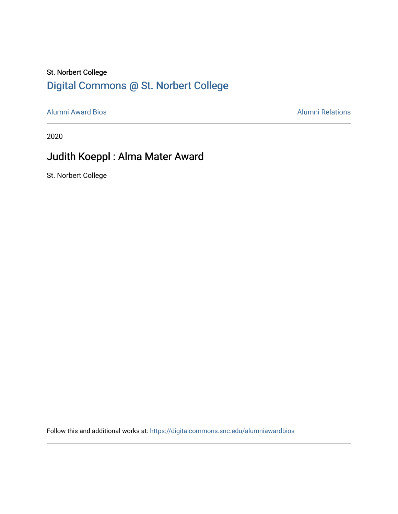## St. Norbert College [Digital Commons @ St. Norbert College](https://digitalcommons.snc.edu/)

[Alumni Award Bios](https://digitalcommons.snc.edu/alumniawardbios) **Alumni Relations** Alumni Relations

2020

## Judith Koeppl : Alma Mater Award

St. Norbert College

Follow this and additional works at: [https://digitalcommons.snc.edu/alumniawardbios](https://digitalcommons.snc.edu/alumniawardbios?utm_source=digitalcommons.snc.edu%2Falumniawardbios%2F63&utm_medium=PDF&utm_campaign=PDFCoverPages)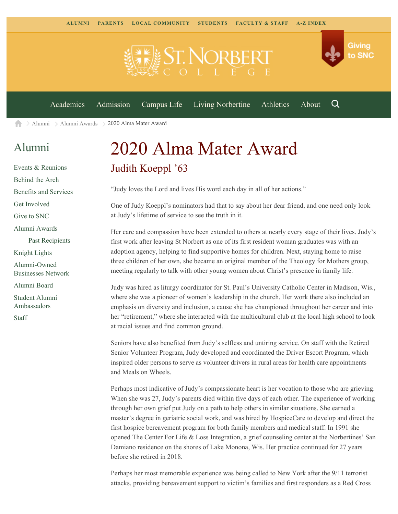

[Alumni](https://www.snc.edu/alumni/) [Alumni Awards](https://www.snc.edu/alumni/awards/) 2020 Alma Mater Award A

## [Alumni](https://www.snc.edu/alumni/index.html)

[Events & Reunions](https://www.snc.edu/alumni/event/index.html) [Behind the Arch](https://www.snc.edu/alumni/event/behindthearch/) [Benefits and Services](https://www.snc.edu/alumni/benefits.html) [Get Involved](https://www.snc.edu/alumni/getinvolved.html) [Give to SNC](http://giving.snc.edu/) [Alumni Awards](https://www.snc.edu/alumni/awards/index.html) [Past Recipients](https://www.snc.edu/alumni/awards/recipients.html) [Knight Lights](https://www.snc.edu/alumni/knightlights/index.html) [Alumni-Owned](https://www.snc.edu/alumni/directory/index.html) [Businesses Network](https://www.snc.edu/alumni/directory/index.html) [Alumni Board](https://www.snc.edu/alumni/alumniboard.html) [Student Alumni](https://www.snc.edu/alumni/saa.html) [Ambassadors](https://www.snc.edu/alumni/saa.html) [Staff](https://www.snc.edu/alumni/contactus.html)

## 2020 Alma Mater Award Judith Koeppl '63

"Judy loves the Lord and lives His word each day in all of her actions."

One of Judy Koeppl's nominators had that to say about her dear friend, and one need only look at Judy's lifetime of service to see the truth in it.

Her care and compassion have been extended to others at nearly every stage of their lives. Judy's first work after leaving St Norbert as one of its first resident woman graduates was with an adoption agency, helping to find supportive homes for children. Next, staying home to raise three children of her own, she became an original member of the Theology for Mothers group, meeting regularly to talk with other young women about Christ's presence in family life.

Judy was hired as liturgy coordinator for St. Paul's University Catholic Center in Madison, Wis., where she was a pioneer of women's leadership in the church. Her work there also included an emphasis on diversity and inclusion, a cause she has championed throughout her career and into her "retirement," where she interacted with the multicultural club at the local high school to look at racial issues and find common ground.

Seniors have also benefited from Judy's selfless and untiring service. On staff with the Retired Senior Volunteer Program, Judy developed and coordinated the Driver Escort Program, which inspired older persons to serve as volunteer drivers in rural areas for health care appointments and Meals on Wheels.

Perhaps most indicative of Judy's compassionate heart is her vocation to those who are grieving. When she was 27, Judy's parents died within five days of each other. The experience of working through her own grief put Judy on a path to help others in similar situations. She earned a master's degree in geriatric social work, and was hired by HospiceCare to develop and direct the first hospice bereavement program for both family members and medical staff. In 1991 she opened The Center For Life & Loss Integration, a grief counseling center at the Norbertines' San Damiano residence on the shores of Lake Monona, Wis. Her practice continued for 27 years before she retired in 2018.

Perhaps her most memorable experience was being called to New York after the 9/11 terrorist attacks, providing bereavement support to victim's families and first responders as a Red Cross